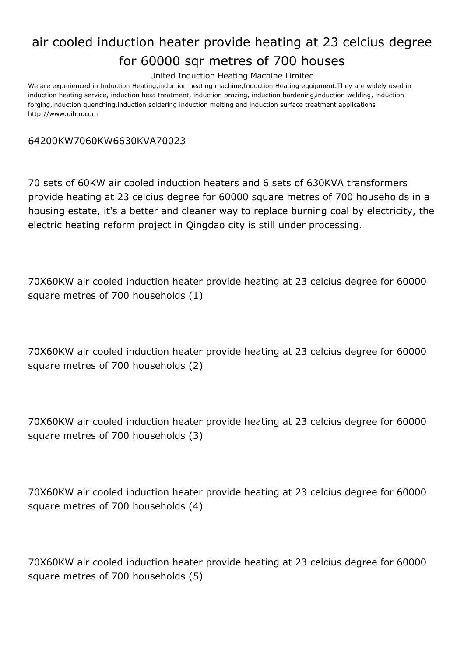## air cooled induction heater provide heating at 23 celcius degree for 60000 sqr metres of 700 houses

United Induction Heating Machine Limited

We are experienced in Induction Heating,induction heating machine,Induction Heating equipment.They are widely used in induction heating service, induction heat treatment, induction brazing, induction hardening,induction welding, induction forging,induction quenching,induction soldering induction melting and induction surface treatment applications <http://www.uihm.com>

## 64200KW7060KW6630KVA70023

70 sets of 60KW air cooled induction heaters and 6 sets of 630KVA transformers provide heating at 23 celcius degree for 60000 square metres of 700 households in a housing estate, it's a better and cleaner way to replace burning coal by electricity, the electric heating reform project in Qingdao city is still under processing.

70X60KW air cooled induction heater provide heating at 23 celcius degree for 60000 square metres of 700 households (1)

70X60KW air cooled induction heater provide heating at 23 celcius degree for 60000 square metres of 700 households (2)

70X60KW air cooled induction heater provide heating at 23 celcius degree for 60000 square metres of 700 households (3)

70X60KW air cooled induction heater provide heating at 23 celcius degree for 60000 square metres of 700 households (4)

70X60KW air cooled induction heater provide heating at 23 celcius degree for 60000 square metres of 700 households (5)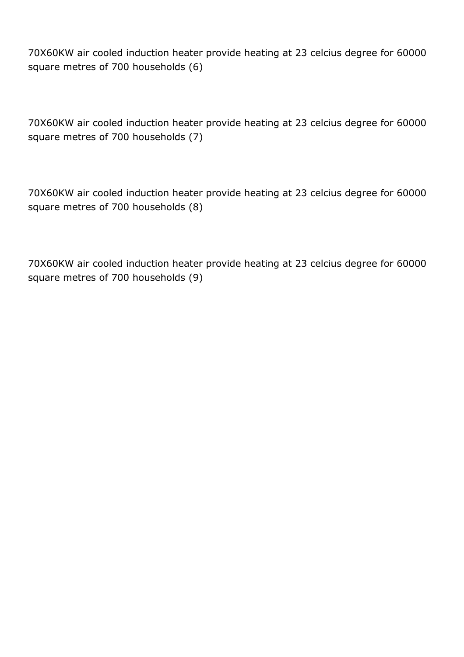70X60KW air cooled induction heater provide heating at 23 celcius degree for 60000 square metres of 700 households (6)

70X60KW air cooled induction heater provide heating at 23 celcius degree for 60000 square metres of 700 households (7)

70X60KW air cooled induction heater provide heating at 23 celcius degree for 60000 square metres of 700 households (8)

70X60KW air cooled induction heater provide heating at 23 celcius degree for 60000 square metres of 700 households (9)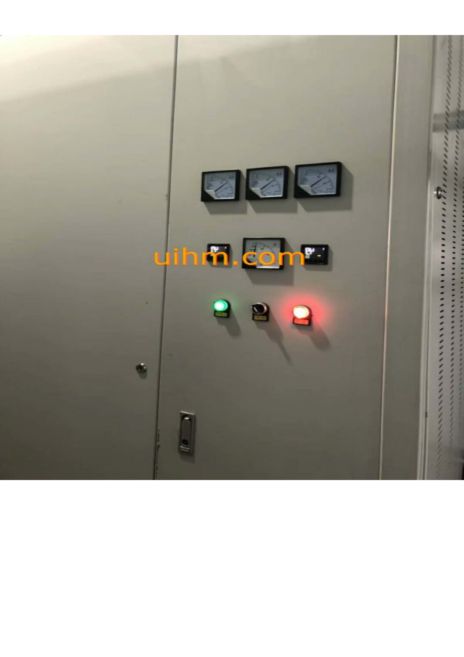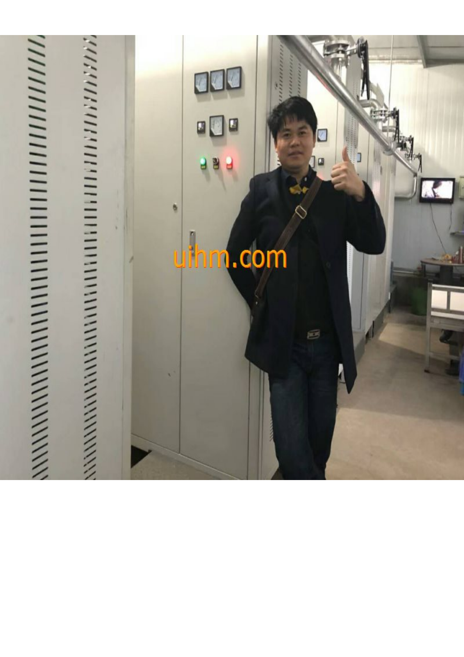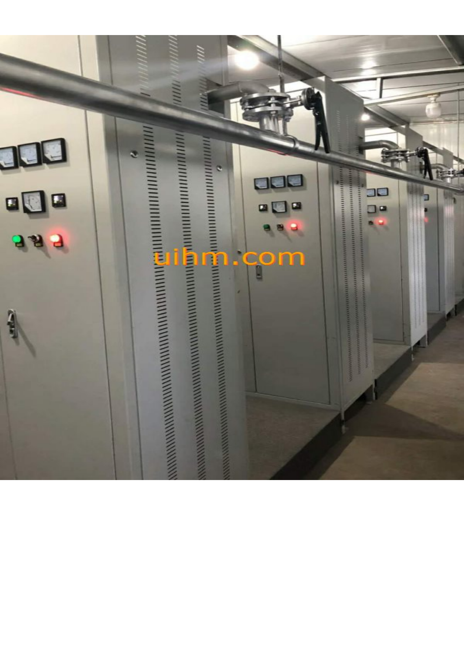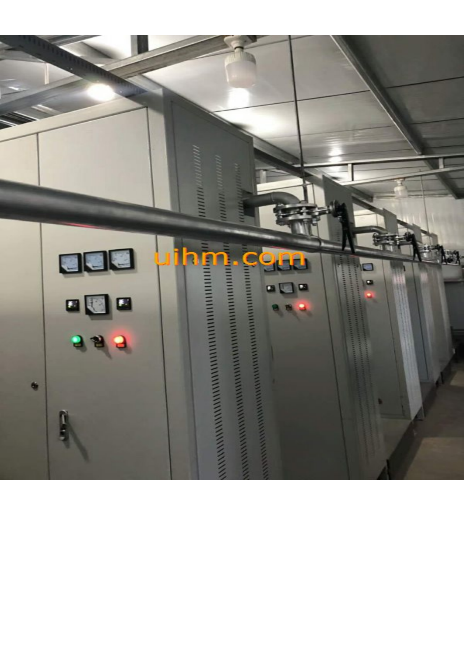![](_page_5_Picture_0.jpeg)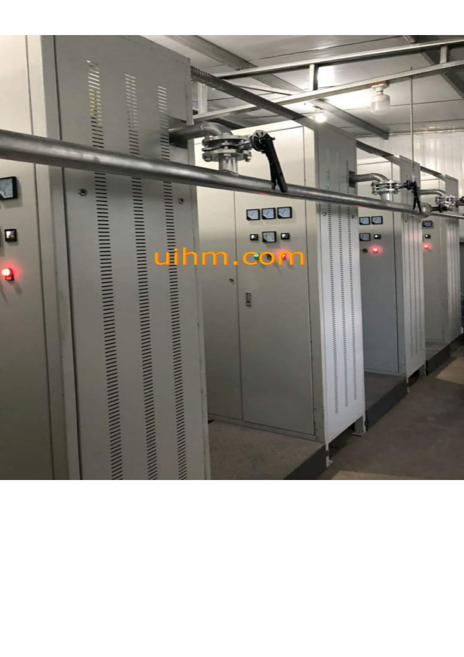![](_page_6_Picture_0.jpeg)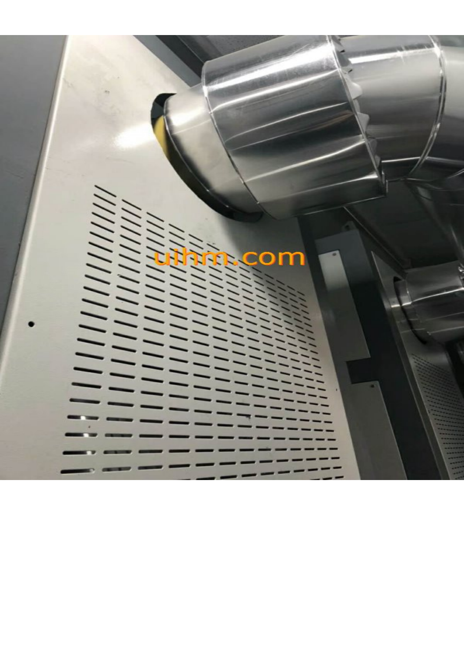![](_page_7_Picture_0.jpeg)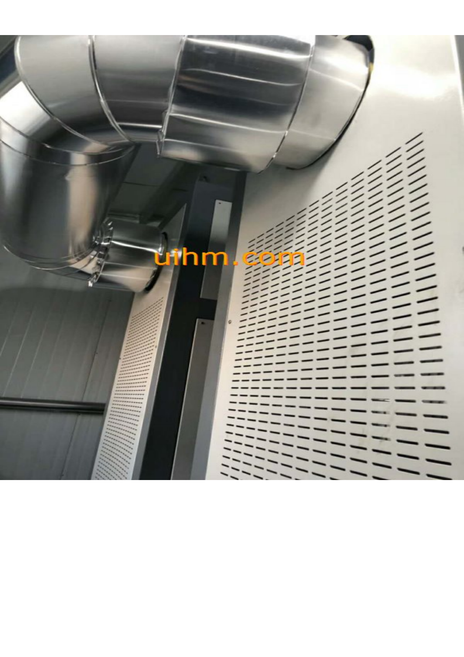![](_page_8_Picture_0.jpeg)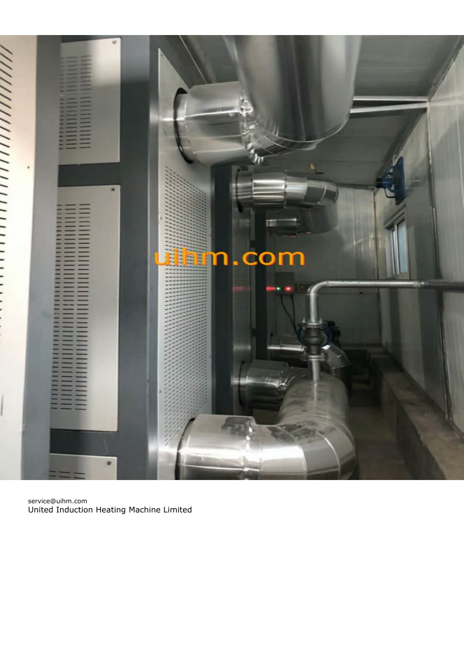![](_page_9_Picture_0.jpeg)

[service@uihm.com](mailto:service@uihm.com) [United Induction Heating Machine Limited](http://www.uihm.com)